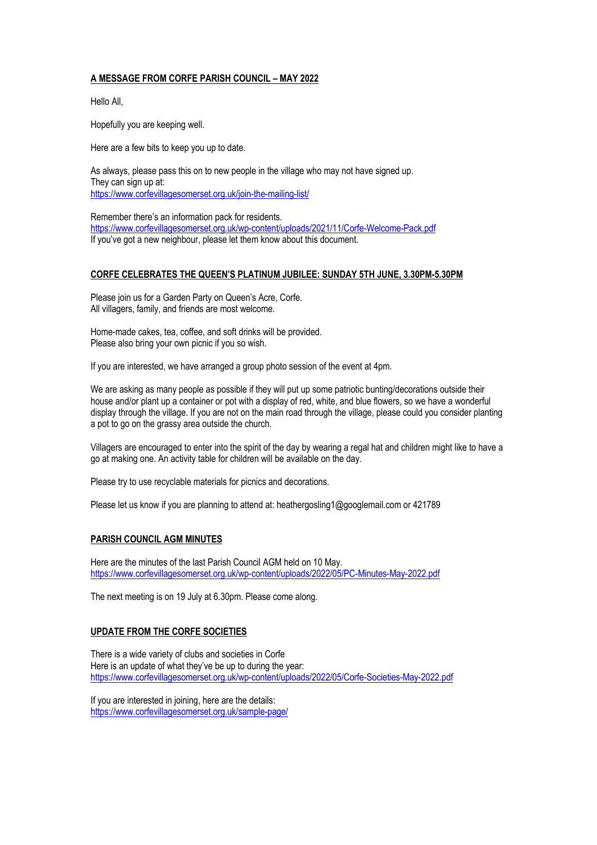## **A MESSAGE FROM CORFE PARISH COUNCIL – MAY 2022**

Hello All,

Hopefully you are keeping well.

Here are a few bits to keep you up to date.

As always, please pass this on to new people in the village who may not have signed up. They can sign up at: https://www.corfevillagesomerset.org.uk/join-the-mailing-list/

Remember there's an information pack for residents. https://www.corfevillagesomerset.org.uk/wp-content/uploads/2021/11/Corfe-Welcome-Pack.pdf If you've got a new neighbour, please let them know about this document.

## **CORFE CELEBRATES THE QUEEN'S PLATINUM JUBILEE: SUNDAY 5TH JUNE, 3.30PM-5.30PM**

Please join us for a Garden Party on Queen's Acre, Corfe. All villagers, family, and friends are most welcome.

Home-made cakes, tea, coffee, and soft drinks will be provided. Please also bring your own picnic if you so wish.

If you are interested, we have arranged a group photo session of the event at 4pm.

We are asking as many people as possible if they will put up some patriotic bunting/decorations outside their house and/or plant up a container or pot with a display of red, white, and blue flowers, so we have a wonderful display through the village. If you are not on the main road through the village, please could you consider planting a pot to go on the grassy area outside the church.

Villagers are encouraged to enter into the spirit of the day by wearing a regal hat and children might like to have a go at making one. An activity table for children will be available on the day.

Please try to use recyclable materials for picnics and decorations.

Please let us know if you are planning to attend at: heathergosling1@googlemail.com or 421789

## **PARISH COUNCIL AGM MINUTES**

Here are the minutes of the last Parish Council AGM held on 10 May. https://www.corfevillagesomerset.org.uk/wp-content/uploads/2022/05/PC-Minutes-May-2022.pdf

The next meeting is on 19 July at 6.30pm. Please come along.

## **UPDATE FROM THE CORFE SOCIETIES**

There is a wide variety of clubs and societies in Corfe Here is an update of what they've be up to during the year: https://www.corfevillagesomerset.org.uk/wp-content/uploads/2022/05/Corfe-Societies-May-2022.pdf

If you are interested in joining, here are the details: https://www.corfevillagesomerset.org.uk/sample-page/